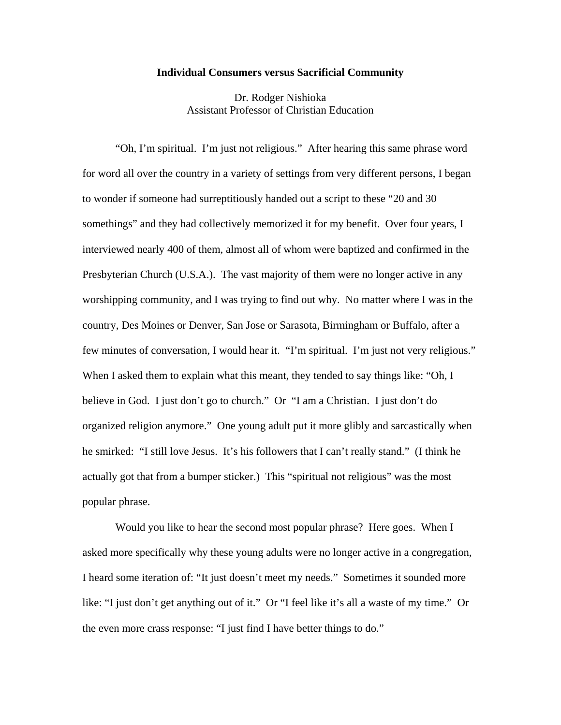## **Individual Consumers versus Sacrificial Community**

Dr. Rodger Nishioka Assistant Professor of Christian Education

"Oh, I'm spiritual. I'm just not religious." After hearing this same phrase word for word all over the country in a variety of settings from very different persons, I began to wonder if someone had surreptitiously handed out a script to these "20 and 30 somethings" and they had collectively memorized it for my benefit. Over four years, I interviewed nearly 400 of them, almost all of whom were baptized and confirmed in the Presbyterian Church (U.S.A.). The vast majority of them were no longer active in any worshipping community, and I was trying to find out why. No matter where I was in the country, Des Moines or Denver, San Jose or Sarasota, Birmingham or Buffalo, after a few minutes of conversation, I would hear it. "I'm spiritual. I'm just not very religious." When I asked them to explain what this meant, they tended to say things like: "Oh, I believe in God. I just don't go to church." Or "I am a Christian. I just don't do organized religion anymore." One young adult put it more glibly and sarcastically when he smirked: "I still love Jesus. It's his followers that I can't really stand." (I think he actually got that from a bumper sticker.) This "spiritual not religious" was the most popular phrase.

 Would you like to hear the second most popular phrase? Here goes. When I asked more specifically why these young adults were no longer active in a congregation, I heard some iteration of: "It just doesn't meet my needs." Sometimes it sounded more like: "I just don't get anything out of it." Or "I feel like it's all a waste of my time." Or the even more crass response: "I just find I have better things to do."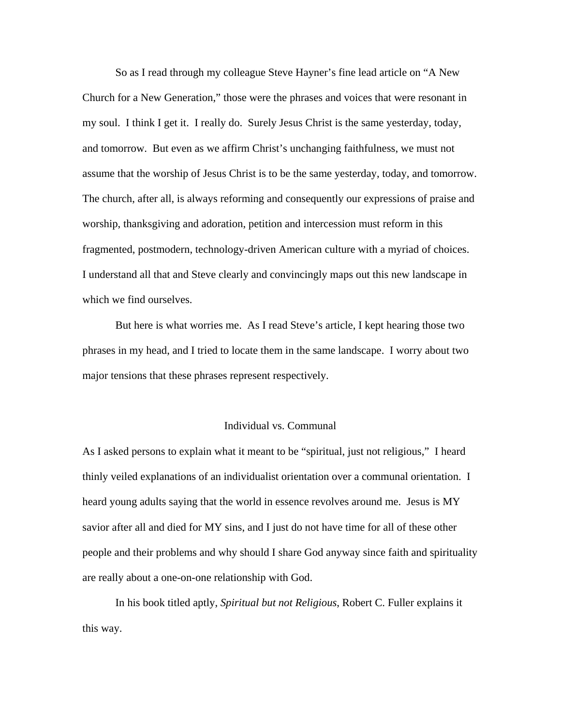So as I read through my colleague Steve Hayner's fine lead article on "A New Church for a New Generation," those were the phrases and voices that were resonant in my soul. I think I get it. I really do. Surely Jesus Christ is the same yesterday, today, and tomorrow. But even as we affirm Christ's unchanging faithfulness, we must not assume that the worship of Jesus Christ is to be the same yesterday, today, and tomorrow. The church, after all, is always reforming and consequently our expressions of praise and worship, thanksgiving and adoration, petition and intercession must reform in this fragmented, postmodern, technology-driven American culture with a myriad of choices. I understand all that and Steve clearly and convincingly maps out this new landscape in which we find ourselves.

 But here is what worries me. As I read Steve's article, I kept hearing those two phrases in my head, and I tried to locate them in the same landscape. I worry about two major tensions that these phrases represent respectively.

## Individual vs. Communal

As I asked persons to explain what it meant to be "spiritual, just not religious," I heard thinly veiled explanations of an individualist orientation over a communal orientation. I heard young adults saying that the world in essence revolves around me. Jesus is MY savior after all and died for MY sins, and I just do not have time for all of these other people and their problems and why should I share God anyway since faith and spirituality are really about a one-on-one relationship with God.

 In his book titled aptly, *Spiritual but not Religious*, Robert C. Fuller explains it this way.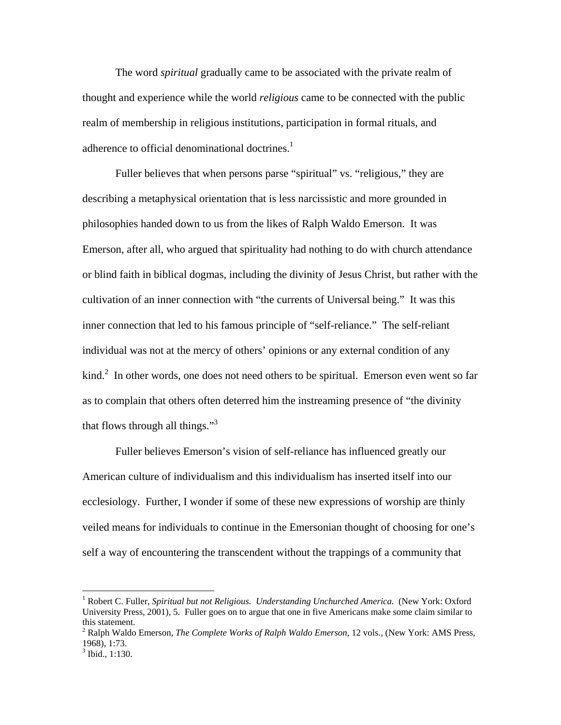The word *spiritual* gradually came to be associated with the private realm of thought and experience while the world *religious* came to be connected with the public realm of membership in religious institutions, participation in formal rituals, and adherence to official denominational doctrines.<sup>1</sup>

Fuller believes that when persons parse "spiritual" vs. "religious," they are describing a metaphysical orientation that is less narcissistic and more grounded in philosophies handed down to us from the likes of Ralph Waldo Emerson. It was Emerson, after all, who argued that spirituality had nothing to do with church attendance or blind faith in biblical dogmas, including the divinity of Jesus Christ, but rather with the cultivation of an inner connection with "the currents of Universal being." It was this inner connection that led to his famous principle of "self-reliance." The self-reliant individual was not at the mercy of others' opinions or any external condition of any kind.<sup>2</sup> In other words, one does not need others to be spiritual. Emerson even went so far as to complain that others often deterred him the instreaming presence of "the divinity that flows through all things." $3<sup>3</sup>$ 

 Fuller believes Emerson's vision of self-reliance has influenced greatly our American culture of individualism and this individualism has inserted itself into our ecclesiology. Further, I wonder if some of these new expressions of worship are thinly veiled means for individuals to continue in the Emersonian thought of choosing for one's self a way of encountering the transcendent without the trappings of a community that

 $\overline{a}$ 

<sup>&</sup>lt;sup>1</sup> Robert C. Fuller, *Spiritual but not Religious. Understanding Unchurched America.* (New York: Oxford University Press, 2001), 5. Fuller goes on to argue that one in five Americans make some claim similar to this statement.

<sup>2</sup> Ralph Waldo Emerson*, The Complete Works of Ralph Waldo Emerson*, 12 vols., (New York: AMS Press, 1968), 1:73.

 $3$  Ibid., 1:130.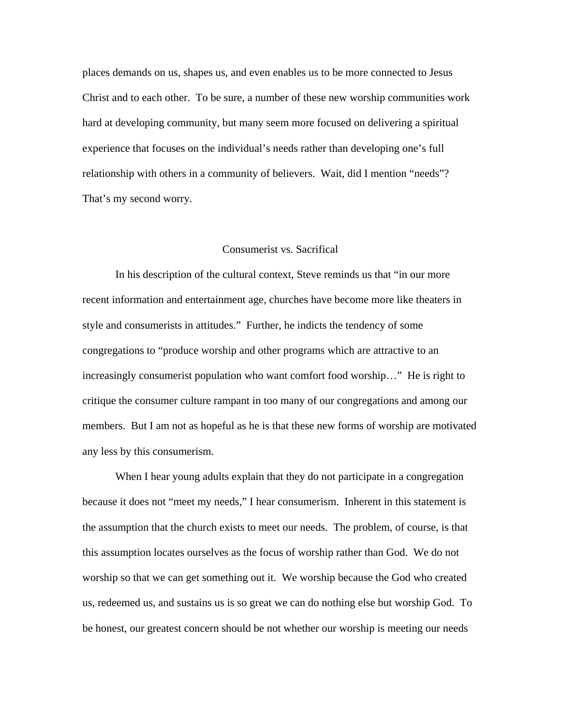places demands on us, shapes us, and even enables us to be more connected to Jesus Christ and to each other. To be sure, a number of these new worship communities work hard at developing community, but many seem more focused on delivering a spiritual experience that focuses on the individual's needs rather than developing one's full relationship with others in a community of believers. Wait, did I mention "needs"? That's my second worry.

## Consumerist vs. Sacrifical

 In his description of the cultural context, Steve reminds us that "in our more recent information and entertainment age, churches have become more like theaters in style and consumerists in attitudes." Further, he indicts the tendency of some congregations to "produce worship and other programs which are attractive to an increasingly consumerist population who want comfort food worship…" He is right to critique the consumer culture rampant in too many of our congregations and among our members. But I am not as hopeful as he is that these new forms of worship are motivated any less by this consumerism.

 When I hear young adults explain that they do not participate in a congregation because it does not "meet my needs," I hear consumerism. Inherent in this statement is the assumption that the church exists to meet our needs. The problem, of course, is that this assumption locates ourselves as the focus of worship rather than God. We do not worship so that we can get something out it. We worship because the God who created us, redeemed us, and sustains us is so great we can do nothing else but worship God. To be honest, our greatest concern should be not whether our worship is meeting our needs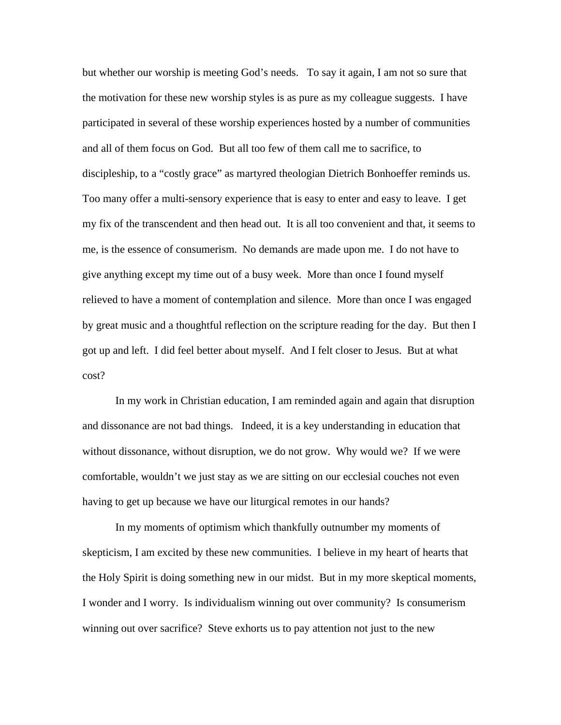but whether our worship is meeting God's needs. To say it again, I am not so sure that the motivation for these new worship styles is as pure as my colleague suggests. I have participated in several of these worship experiences hosted by a number of communities and all of them focus on God. But all too few of them call me to sacrifice, to discipleship, to a "costly grace" as martyred theologian Dietrich Bonhoeffer reminds us. Too many offer a multi-sensory experience that is easy to enter and easy to leave. I get my fix of the transcendent and then head out. It is all too convenient and that, it seems to me, is the essence of consumerism. No demands are made upon me. I do not have to give anything except my time out of a busy week. More than once I found myself relieved to have a moment of contemplation and silence. More than once I was engaged by great music and a thoughtful reflection on the scripture reading for the day. But then I got up and left. I did feel better about myself. And I felt closer to Jesus. But at what cost?

 In my work in Christian education, I am reminded again and again that disruption and dissonance are not bad things. Indeed, it is a key understanding in education that without dissonance, without disruption, we do not grow. Why would we? If we were comfortable, wouldn't we just stay as we are sitting on our ecclesial couches not even having to get up because we have our liturgical remotes in our hands?

 In my moments of optimism which thankfully outnumber my moments of skepticism, I am excited by these new communities. I believe in my heart of hearts that the Holy Spirit is doing something new in our midst. But in my more skeptical moments, I wonder and I worry. Is individualism winning out over community? Is consumerism winning out over sacrifice? Steve exhorts us to pay attention not just to the new